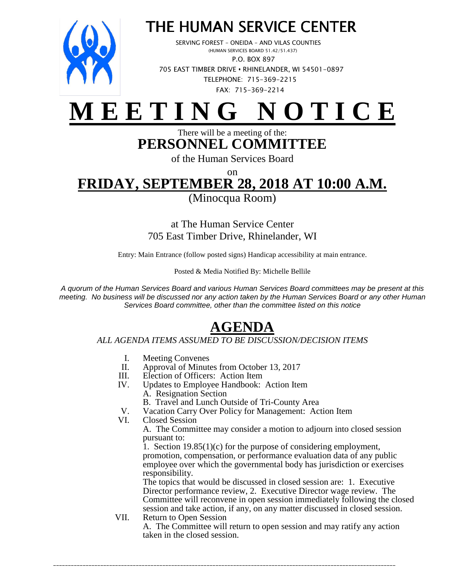

### *THE HUMAN SERVICE CENTER*

 *SERVING FOREST – ONEIDA – AND VILAS COUNTIES (HUMAN SERVICES BOARD 51.42/51.437) P.O. BOX 897 705 EAST TIMBER DRIVE* **•** *RHINELANDER, WI 54501-0897 TELEPHONE: 715-369-2215 FAX: 715-369-2214*

# **M E E T I N G N O T I C E**

### There will be a meeting of the: **PERSONNEL COMMITTEE**

of the Human Services Board

on

## **FRIDAY, SEPTEMBER 28, 2018 AT 10:00 A.M.**

(Minocqua Room)

at The Human Service Center 705 East Timber Drive, Rhinelander, WI

Entry: Main Entrance (follow posted signs) Handicap accessibility at main entrance.

Posted & Media Notified By: Michelle Bellile

A quorum of the Human Services Board and various Human Services Board committees may be present at this meeting. No business will be discussed nor any action taken by the Human Services Board or any other Human Services Board committee, other than the committee listed on this notice

### **AGENDA**

#### *ALL AGENDA ITEMS ASSUMED TO BE DISCUSSION/DECISION ITEMS*

- I. Meeting Convenes<br>II. Approval of Minute
- Approval of Minutes from October 13, 2017
- III. Election of Officers: Action Item<br>IV. Updates to Employee Handbook:
- Updates to Employee Handbook: Action Item
	- A. Resignation Section
	- B. Travel and Lunch Outside of Tri-County Area

*\_\_\_\_\_\_\_\_\_\_\_\_\_\_\_\_\_\_\_\_\_\_\_\_\_\_\_\_\_\_\_\_\_\_\_\_\_\_\_\_\_\_\_\_\_\_\_\_\_\_\_\_\_\_\_\_\_\_\_\_\_\_\_\_\_\_\_\_\_\_\_\_\_\_\_\_\_\_\_\_\_\_\_\_\_\_\_\_\_\_\_\_\_\_\_\_\_\_\_\_\_\_\_\_\_\_\_\_\_\_\_\_\_\_\_\_* 

- V. Vacation Carry Over Policy for Management: Action Item<br>VI. Closed Session
- Closed Session

A. The Committee may consider a motion to adjourn into closed session pursuant to:

1. Section  $19.85(1)(c)$  for the purpose of considering employment, promotion, compensation, or performance evaluation data of any public employee over which the governmental body has jurisdiction or exercises responsibility.

The topics that would be discussed in closed session are: 1. Executive Director performance review, 2. Executive Director wage review. The Committee will reconvene in open session immediately following the closed session and take action, if any, on any matter discussed in closed session.

VII. Return to Open Session A. The Committee will return to open session and may ratify any action taken in the closed session.